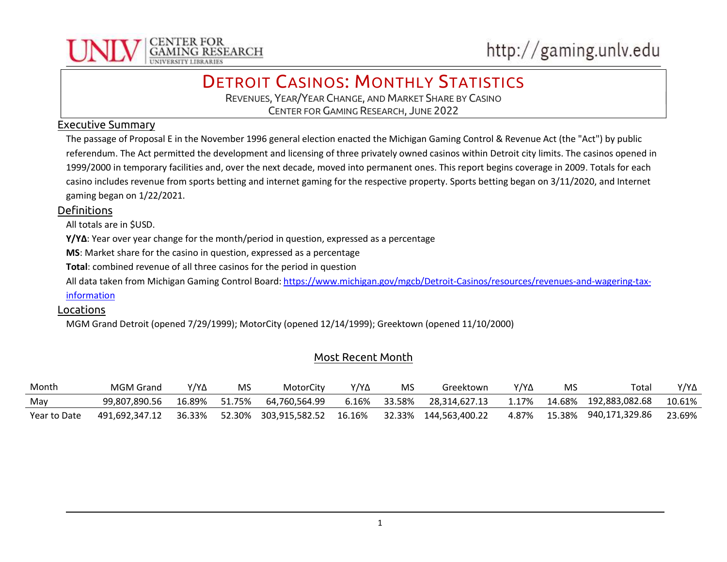

# **DETROIT CASINOS: MONTHLY STATISTICS**

REVENUES, YEAR/YEAR CHANGE, AND MARKET SHARE BY CASINO CENTER FOR GAMING RESEARCH, JUNE 2022

#### Executive Summary

The passage of Proposal E in the November 1996 general election enacted the Michigan Gaming Control & Revenue Act (the "Act") by public referendum. The Act permitted the development and licensing of three privately owned casinos within Detroit city limits. The casinos opened in 1999/2000 in temporary facilities and, over the next decade, moved into permanent ones. This report begins coverage in 2009. Totals for each casino includes revenue from sports betting and internet gaming for the respective property. Sports betting began on 3/11/2020, and Internet gaming began on 1/22/2021.

#### **Definitions**

All totals are in \$USD.

Y/YΔ: Year over year change for the month/period in question, expressed as a percentage

MS: Market share for the casino in question, expressed as a percentage

Total: combined revenue of all three casinos for the period in question

All data taken from Michigan Gaming Control Board: https://www.michigan.gov/mgcb/Detroit-Casinos/resources/revenues-and-wagering-tax-

#### information

#### Locations

MGM Grand Detroit (opened 7/29/1999); MotorCity (opened 12/14/1999); Greektown (opened 11/10/2000)

### Most Recent Month

| Month        | <b>MGM Grand</b> | Y/Y∆   | MS     | MotorCity      | Y/Y∆   | MS     | Greektown      | Y/Y∆  | MS     | Tota.          | Y/Y∆   |
|--------------|------------------|--------|--------|----------------|--------|--------|----------------|-------|--------|----------------|--------|
| May          | 99.807.890.56    | 16.89% | 51.75% | 64.760.564.99  | 6.16%  | 33.58% | 28.314.627.13  | 1.17% | 14.68% | 192,883,082.68 | 10.61% |
| Year to Date | 491.692.347.12   | 36.33% | 52.30% | 303,915,582.52 | 16.16% | 32.33% | 144.563.400.22 | 4.87% | 15.38% | 940,171,329.86 | 23.69% |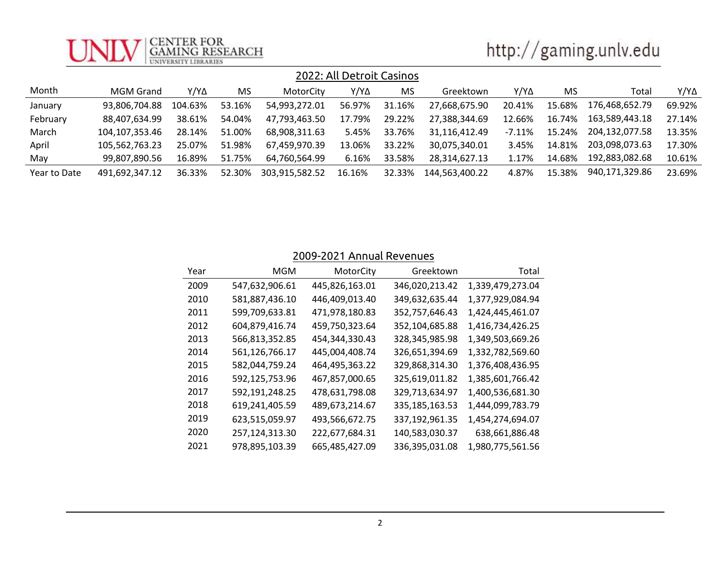

| http://gaming.unlv.edu |  |
|------------------------|--|

| 2022: All Detroit Casinos |                  |         |        |                |        |        |                |           |        |                |        |
|---------------------------|------------------|---------|--------|----------------|--------|--------|----------------|-----------|--------|----------------|--------|
| Month                     | <b>MGM Grand</b> | Y/Y∆    | MS     | MotorCity      | Y/Y∆   | MS     | Greektown      | Y/Y∆      | MS     | Total          | Y/Y∆   |
| January                   | 93,806,704.88    | 104.63% | 53.16% | 54,993,272.01  | 56.97% | 31.16% | 27,668,675.90  | 20.41%    | 15.68% | 176.468.652.79 | 69.92% |
| February                  | 88.407.634.99    | 38.61%  | 54.04% | 47,793,463.50  | 17.79% | 29.22% | 27,388,344.69  | 12.66%    | 16.74% | 163,589,443.18 | 27.14% |
| March                     | 104.107.353.46   | 28.14%  | 51.00% | 68,908,311.63  | 5.45%  | 33.76% | 31,116,412.49  | $-7.11\%$ | 15.24% | 204,132,077.58 | 13.35% |
| April                     | 105.562.763.23   | 25.07%  | 51.98% | 67,459,970.39  | 13.06% | 33.22% | 30,075,340.01  | 3.45%     | 14.81% | 203,098,073.63 | 17.30% |
| May                       | 99.807.890.56    | 16.89%  | 51.75% | 64.760.564.99  | 6.16%  | 33.58% | 28.314.627.13  | 1.17%     | 14.68% | 192,883,082.68 | 10.61% |
| Year to Date              | 491.692.347.12   | 36.33%  | 52.30% | 303,915,582.52 | 16.16% | 32.33% | 144.563.400.22 | 4.87%     | 15.38% | 940,171,329.86 | 23.69% |

## 2009-2021 Annual Revenues

| Year | MGM            | MotorCity      | Greektown      | Total            |
|------|----------------|----------------|----------------|------------------|
| 2009 | 547,632,906.61 | 445,826,163.01 | 346,020,213.42 | 1,339,479,273.04 |
| 2010 | 581,887,436.10 | 446,409,013.40 | 349,632,635.44 | 1,377,929,084.94 |
| 2011 | 599,709,633.81 | 471,978,180.83 | 352,757,646.43 | 1,424,445,461.07 |
| 2012 | 604,879,416.74 | 459,750,323.64 | 352,104,685.88 | 1,416,734,426.25 |
| 2013 | 566,813,352.85 | 454,344,330.43 | 328,345,985.98 | 1,349,503,669.26 |
| 2014 | 561,126,766.17 | 445,004,408.74 | 326,651,394.69 | 1,332,782,569.60 |
| 2015 | 582,044,759.24 | 464,495,363.22 | 329,868,314.30 | 1,376,408,436.95 |
| 2016 | 592,125,753.96 | 467,857,000.65 | 325,619,011.82 | 1,385,601,766.42 |
| 2017 | 592,191,248.25 | 478,631,798.08 | 329,713,634.97 | 1,400,536,681.30 |
| 2018 | 619,241,405.59 | 489,673,214.67 | 335,185,163.53 | 1,444,099,783.79 |
| 2019 | 623,515,059.97 | 493,566,672.75 | 337,192,961.35 | 1,454,274,694.07 |
| 2020 | 257,124,313.30 | 222,677,684.31 | 140,583,030.37 | 638,661,886.48   |
| 2021 | 978,895,103.39 | 665,485,427.09 | 336,395,031.08 | 1,980,775,561.56 |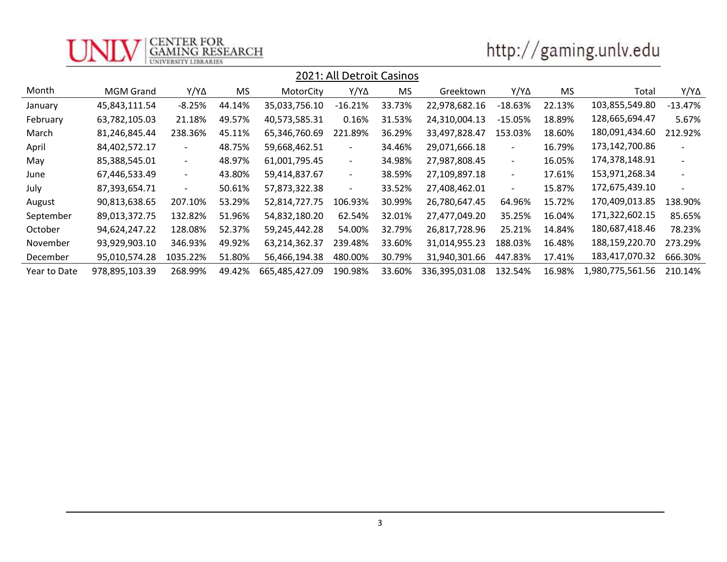

# http://gaming.unlv.edu

|              | 2021: All Detroit Casinos |                          |        |                |                          |        |                |                          |           |                  |                          |
|--------------|---------------------------|--------------------------|--------|----------------|--------------------------|--------|----------------|--------------------------|-----------|------------------|--------------------------|
| Month        | MGM Grand                 | Y/Y∆                     | MS     | MotorCity      | Y/Y∆                     | MS     | Greektown      | $Y/Y\Delta$              | <b>MS</b> | Total            | Y/Y∆                     |
| January      | 45,843,111.54             | $-8.25%$                 | 44.14% | 35,033,756.10  | $-16.21%$                | 33.73% | 22,978,682.16  | $-18.63%$                | 22.13%    | 103,855,549.80   | $-13.47%$                |
| February     | 63,782,105.03             | 21.18%                   | 49.57% | 40,573,585.31  | 0.16%                    | 31.53% | 24,310,004.13  | $-15.05%$                | 18.89%    | 128,665,694.47   | 5.67%                    |
| March        | 81,246,845.44             | 238.36%                  | 45.11% | 65,346,760.69  | 221.89%                  | 36.29% | 33,497,828.47  | 153.03%                  | 18.60%    | 180,091,434.60   | 212.92%                  |
| April        | 84,402,572.17             | ۰.                       | 48.75% | 59,668,462.51  | $\blacksquare$           | 34.46% | 29,071,666.18  | $\overline{\phantom{0}}$ | 16.79%    | 173,142,700.86   |                          |
| May          | 85,388,545.01             | $ \,$                    | 48.97% | 61,001,795.45  | $\overline{\phantom{a}}$ | 34.98% | 27,987,808.45  | $\overline{\phantom{a}}$ | 16.05%    | 174,378,148.91   | $\overline{\phantom{a}}$ |
| June         | 67,446,533.49             | $\overline{\phantom{a}}$ | 43.80% | 59,414,837.67  | $\overline{\phantom{a}}$ | 38.59% | 27,109,897.18  | $\overline{\phantom{a}}$ | 17.61%    | 153,971,268.34   | $\overline{\phantom{a}}$ |
| July         | 87,393,654.71             | $\overline{\phantom{a}}$ | 50.61% | 57,873,322.38  | $\overline{\phantom{a}}$ | 33.52% | 27,408,462.01  | $\overline{\phantom{a}}$ | 15.87%    | 172,675,439.10   | $\sim$                   |
| August       | 90,813,638.65             | 207.10%                  | 53.29% | 52,814,727.75  | 106.93%                  | 30.99% | 26,780,647.45  | 64.96%                   | 15.72%    | 170,409,013.85   | 138.90%                  |
| September    | 89,013,372.75             | 132.82%                  | 51.96% | 54,832,180.20  | 62.54%                   | 32.01% | 27,477,049.20  | 35.25%                   | 16.04%    | 171,322,602.15   | 85.65%                   |
| October      | 94,624,247.22             | 128.08%                  | 52.37% | 59,245,442.28  | 54.00%                   | 32.79% | 26,817,728.96  | 25.21%                   | 14.84%    | 180,687,418.46   | 78.23%                   |
| November     | 93,929,903.10             | 346.93%                  | 49.92% | 63,214,362.37  | 239.48%                  | 33.60% | 31,014,955.23  | 188.03%                  | 16.48%    | 188,159,220.70   | 273.29%                  |
| December     | 95,010,574.28             | 1035.22%                 | 51.80% | 56,466,194.38  | 480.00%                  | 30.79% | 31,940,301.66  | 447.83%                  | 17.41%    | 183,417,070.32   | 666.30%                  |
| Year to Date | 978,895,103.39            | 268.99%                  | 49.42% | 665,485,427.09 | 190.98%                  | 33.60% | 336,395,031.08 | 132.54%                  | 16.98%    | 1,980,775,561.56 | 210.14%                  |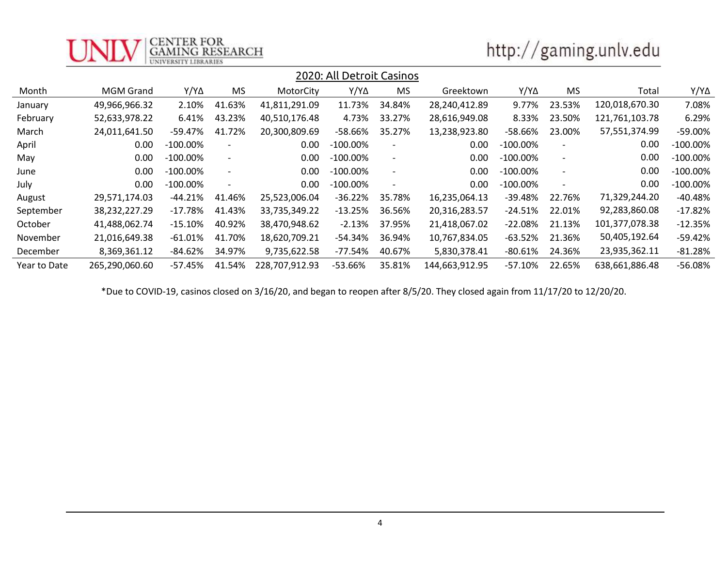

# http://gaming.unlv.edu

|              |                  |             |                              |                | 2020: All Detroit Casinos |                          |                |             |                          |                |             |
|--------------|------------------|-------------|------------------------------|----------------|---------------------------|--------------------------|----------------|-------------|--------------------------|----------------|-------------|
| Month        | <b>MGM Grand</b> | Y/Y∆        | <b>MS</b>                    | MotorCity      | Y/Y∆                      | <b>MS</b>                | Greektown      | Y/Y∆        | <b>MS</b>                | Total          | Y/Y∆        |
| January      | 49,966,966.32    | 2.10%       | 41.63%                       | 41,811,291.09  | 11.73%                    | 34.84%                   | 28,240,412.89  | 9.77%       | 23.53%                   | 120,018,670.30 | 7.08%       |
| February     | 52,633,978.22    | 6.41%       | 43.23%                       | 40,510,176.48  | 4.73%                     | 33.27%                   | 28,616,949.08  | 8.33%       | 23.50%                   | 121,761,103.78 | 6.29%       |
| March        | 24,011,641.50    | -59.47%     | 41.72%                       | 20,300,809.69  | -58.66%                   | 35.27%                   | 13,238,923.80  | -58.66%     | 23.00%                   | 57,551,374.99  | -59.00%     |
| April        | 0.00             | $-100.00\%$ |                              | 0.00           | $-100.00\%$               |                          | 0.00           | $-100.00\%$ |                          | 0.00           | $-100.00\%$ |
| May          | 0.00             | $-100.00\%$ | $\overline{\phantom{a}}$     | 0.00           | $-100.00\%$               | $\overline{\phantom{a}}$ | 0.00           | $-100.00\%$ | $\overline{\phantom{a}}$ | 0.00           | $-100.00\%$ |
| June         | 0.00             | $-100.00\%$ | $\qquad \qquad \blacksquare$ | 0.00           | $-100.00\%$               | $\overline{\phantom{a}}$ | 0.00           | $-100.00\%$ | $\overline{\phantom{0}}$ | 0.00           | $-100.00\%$ |
| July         | 0.00             | $-100.00\%$ |                              | 0.00           | $-100.00\%$               | $\overline{\phantom{a}}$ | 0.00           | $-100.00\%$ |                          | 0.00           | $-100.00\%$ |
| August       | 29,571,174.03    | $-44.21%$   | 41.46%                       | 25,523,006.04  | $-36.22%$                 | 35.78%                   | 16,235,064.13  | $-39.48%$   | 22.76%                   | 71,329,244.20  | $-40.48%$   |
| September    | 38,232,227.29    | $-17.78\%$  | 41.43%                       | 33,735,349.22  | $-13.25%$                 | 36.56%                   | 20,316,283.57  | $-24.51%$   | 22.01%                   | 92,283,860.08  | $-17.82%$   |
| October      | 41,488,062.74    | -15.10%     | 40.92%                       | 38,470,948.62  | $-2.13%$                  | 37.95%                   | 21,418,067.02  | $-22.08\%$  | 21.13%                   | 101,377,078.38 | $-12.35%$   |
| November     | 21,016,649.38    | $-61.01\%$  | 41.70%                       | 18,620,709.21  | $-54.34%$                 | 36.94%                   | 10,767,834.05  | -63.52%     | 21.36%                   | 50,405,192.64  | $-59.42%$   |
| December     | 8,369,361.12     | -84.62%     | 34.97%                       | 9,735,622.58   | -77.54%                   | 40.67%                   | 5,830,378.41   | -80.61%     | 24.36%                   | 23,935,362.11  | $-81.28%$   |
| Year to Date | 265,290,060.60   | -57.45%     | 41.54%                       | 228,707,912.93 | $-53.66%$                 | 35.81%                   | 144,663,912.95 | $-57.10\%$  | 22.65%                   | 638,661,886.48 | $-56.08%$   |

\*Due to COVID-19, casinos closed on 3/16/20, and began to reopen after 8/5/20. They closed again from 11/17/20 to 12/20/20.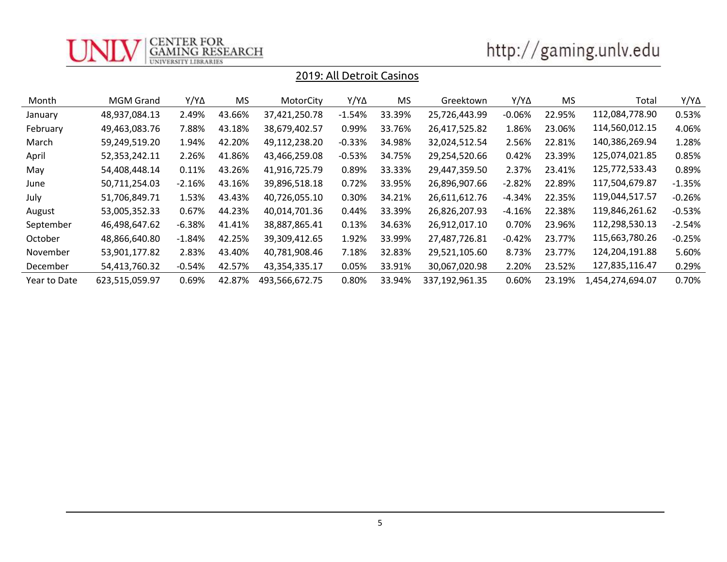

| http://gaming.unlv.edu |  |
|------------------------|--|
|                        |  |

| Month        | <b>MGM Grand</b> | Y/Y∆     | MS     | MotorCity      | Y/Y∆     | MS.    | Greektown      | Y/Y∆     | <b>MS</b> | Total            | Y/YΔ     |
|--------------|------------------|----------|--------|----------------|----------|--------|----------------|----------|-----------|------------------|----------|
| January      | 48,937,084.13    | 2.49%    | 43.66% | 37,421,250.78  | $-1.54%$ | 33.39% | 25,726,443.99  | $-0.06%$ | 22.95%    | 112,084,778.90   | 0.53%    |
| February     | 49,463,083.76    | 7.88%    | 43.18% | 38,679,402.57  | 0.99%    | 33.76% | 26,417,525.82  | 1.86%    | 23.06%    | 114,560,012.15   | 4.06%    |
| March        | 59,249,519.20    | 1.94%    | 42.20% | 49,112,238.20  | $-0.33%$ | 34.98% | 32,024,512.54  | 2.56%    | 22.81%    | 140,386,269.94   | 1.28%    |
| April        | 52,353,242.11    | 2.26%    | 41.86% | 43,466,259.08  | $-0.53%$ | 34.75% | 29,254,520.66  | 0.42%    | 23.39%    | 125,074,021.85   | 0.85%    |
| May          | 54,408,448.14    | 0.11%    | 43.26% | 41,916,725.79  | 0.89%    | 33.33% | 29,447,359.50  | 2.37%    | 23.41%    | 125,772,533.43   | 0.89%    |
| June         | 50,711,254.03    | $-2.16%$ | 43.16% | 39,896,518.18  | 0.72%    | 33.95% | 26,896,907.66  | $-2.82%$ | 22.89%    | 117,504,679.87   | $-1.35%$ |
| July         | 51,706,849.71    | 1.53%    | 43.43% | 40,726,055.10  | 0.30%    | 34.21% | 26,611,612.76  | $-4.34%$ | 22.35%    | 119,044,517.57   | $-0.26%$ |
| August       | 53,005,352.33    | 0.67%    | 44.23% | 40,014,701.36  | 0.44%    | 33.39% | 26,826,207.93  | $-4.16%$ | 22.38%    | 119,846,261.62   | $-0.53%$ |
| September    | 46,498,647.62    | $-6.38%$ | 41.41% | 38,887,865.41  | 0.13%    | 34.63% | 26,912,017.10  | 0.70%    | 23.96%    | 112,298,530.13   | $-2.54%$ |
| October      | 48,866,640.80    | $-1.84%$ | 42.25% | 39,309,412.65  | 1.92%    | 33.99% | 27,487,726.81  | $-0.42%$ | 23.77%    | 115,663,780.26   | $-0.25%$ |
| November     | 53,901,177.82    | 2.83%    | 43.40% | 40,781,908.46  | 7.18%    | 32.83% | 29,521,105.60  | 8.73%    | 23.77%    | 124,204,191.88   | 5.60%    |
| December     | 54,413,760.32    | $-0.54%$ | 42.57% | 43,354,335.17  | 0.05%    | 33.91% | 30,067,020.98  | 2.20%    | 23.52%    | 127,835,116.47   | 0.29%    |
| Year to Date | 623,515,059.97   | 0.69%    | 42.87% | 493,566,672.75 | 0.80%    | 33.94% | 337,192,961.35 | 0.60%    | 23.19%    | 1,454,274,694.07 | 0.70%    |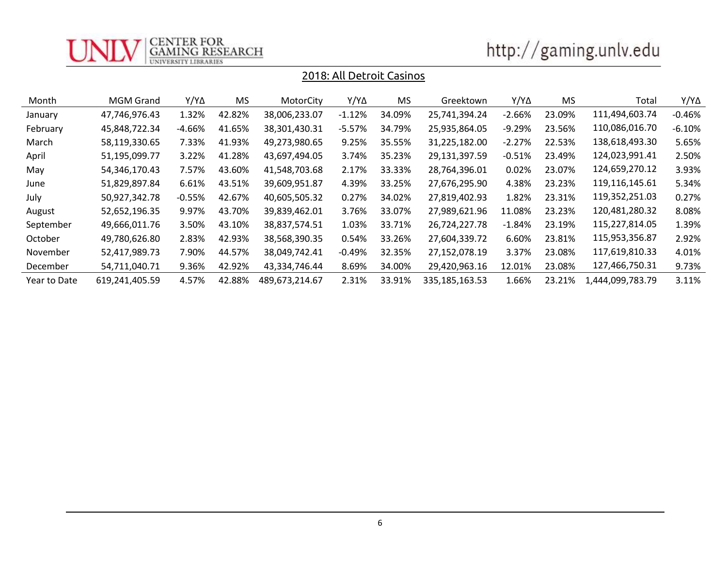

| http://gaming.unlv.edu |  |
|------------------------|--|
|                        |  |

| Month        | <b>MGM Grand</b> | Y/Y∆     | <b>MS</b> | MotorCity      | Y/Y∆     | MS.    | Greektown      | Y/Y∆     | <b>MS</b> | Total            | Y/YΔ     |
|--------------|------------------|----------|-----------|----------------|----------|--------|----------------|----------|-----------|------------------|----------|
| January      | 47,746,976.43    | 1.32%    | 42.82%    | 38,006,233.07  | $-1.12%$ | 34.09% | 25,741,394.24  | $-2.66%$ | 23.09%    | 111,494,603.74   | $-0.46%$ |
| February     | 45,848,722.34    | $-4.66%$ | 41.65%    | 38,301,430.31  | $-5.57%$ | 34.79% | 25,935,864.05  | $-9.29%$ | 23.56%    | 110,086,016.70   | $-6.10%$ |
| March        | 58,119,330.65    | 7.33%    | 41.93%    | 49,273,980.65  | 9.25%    | 35.55% | 31,225,182.00  | $-2.27%$ | 22.53%    | 138,618,493.30   | 5.65%    |
| April        | 51,195,099.77    | 3.22%    | 41.28%    | 43,697,494.05  | 3.74%    | 35.23% | 29,131,397.59  | $-0.51%$ | 23.49%    | 124,023,991.41   | 2.50%    |
| May          | 54,346,170.43    | 7.57%    | 43.60%    | 41,548,703.68  | 2.17%    | 33.33% | 28,764,396.01  | 0.02%    | 23.07%    | 124,659,270.12   | 3.93%    |
| June         | 51,829,897.84    | 6.61%    | 43.51%    | 39,609,951.87  | 4.39%    | 33.25% | 27,676,295.90  | 4.38%    | 23.23%    | 119,116,145.61   | 5.34%    |
| July         | 50,927,342.78    | $-0.55%$ | 42.67%    | 40,605,505.32  | 0.27%    | 34.02% | 27,819,402.93  | 1.82%    | 23.31%    | 119,352,251.03   | 0.27%    |
| August       | 52,652,196.35    | 9.97%    | 43.70%    | 39,839,462.01  | 3.76%    | 33.07% | 27,989,621.96  | 11.08%   | 23.23%    | 120,481,280.32   | 8.08%    |
| September    | 49,666,011.76    | 3.50%    | 43.10%    | 38,837,574.51  | 1.03%    | 33.71% | 26,724,227.78  | $-1.84%$ | 23.19%    | 115,227,814.05   | 1.39%    |
| October      | 49,780,626.80    | 2.83%    | 42.93%    | 38,568,390.35  | 0.54%    | 33.26% | 27,604,339.72  | 6.60%    | 23.81%    | 115,953,356.87   | 2.92%    |
| November     | 52,417,989.73    | 7.90%    | 44.57%    | 38,049,742.41  | $-0.49%$ | 32.35% | 27,152,078.19  | 3.37%    | 23.08%    | 117,619,810.33   | 4.01%    |
| December     | 54,711,040.71    | 9.36%    | 42.92%    | 43,334,746.44  | 8.69%    | 34.00% | 29,420,963.16  | 12.01%   | 23.08%    | 127,466,750.31   | 9.73%    |
| Year to Date | 619,241,405.59   | 4.57%    | 42.88%    | 489.673.214.67 | 2.31%    | 33.91% | 335,185,163.53 | 1.66%    | 23.21%    | 1,444,099,783.79 | 3.11%    |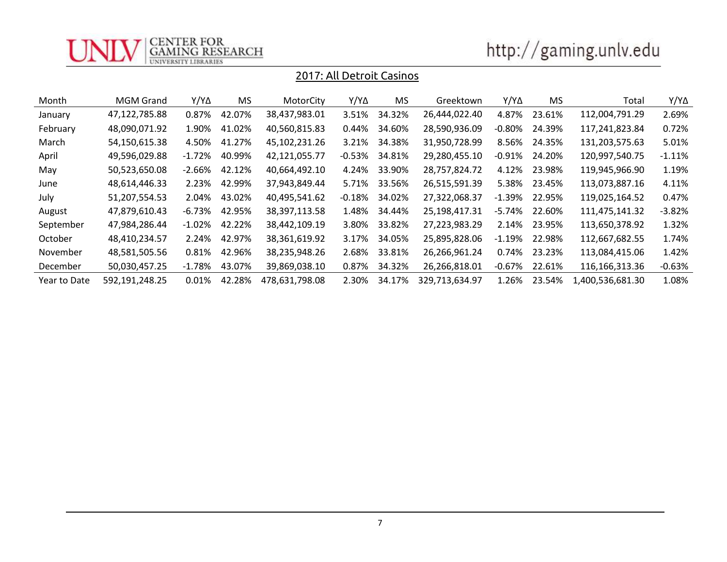

| http://gaming.unlv.edu |  |
|------------------------|--|
|                        |  |

| Month        | MGM Grand      | Y/Y∆      | <b>MS</b> | MotorCity      | Y/Y∆      | MS.    | Greektown      | $Y/Y\Delta$ | <b>MS</b> | Total            | Y/Y∆      |
|--------------|----------------|-----------|-----------|----------------|-----------|--------|----------------|-------------|-----------|------------------|-----------|
| January      | 47,122,785.88  | 0.87%     | 42.07%    | 38,437,983.01  | 3.51%     | 34.32% | 26,444,022.40  | 4.87%       | 23.61%    | 112,004,791.29   | 2.69%     |
| February     | 48,090,071.92  | 1.90%     | 41.02%    | 40,560,815.83  | 0.44%     | 34.60% | 28,590,936.09  | -0.80%      | 24.39%    | 117,241,823.84   | 0.72%     |
| March        | 54,150,615.38  | 4.50%     | 41.27%    | 45,102,231.26  | 3.21%     | 34.38% | 31,950,728.99  | 8.56%       | 24.35%    | 131,203,575.63   | 5.01%     |
| April        | 49,596,029.88  | $-1.72%$  | 40.99%    | 42,121,055.77  | $-0.53%$  | 34.81% | 29,280,455.10  | $-0.91%$    | 24.20%    | 120,997,540.75   | $-1.11\%$ |
| May          | 50,523,650.08  | -2.66%    | 42.12%    | 40,664,492.10  | 4.24%     | 33.90% | 28,757,824.72  | 4.12%       | 23.98%    | 119,945,966.90   | 1.19%     |
| June         | 48,614,446.33  | 2.23%     | 42.99%    | 37,943,849.44  | 5.71%     | 33.56% | 26,515,591.39  | 5.38%       | 23.45%    | 113,073,887.16   | 4.11%     |
| July         | 51,207,554.53  | 2.04%     | 43.02%    | 40,495,541.62  | $-0.18\%$ | 34.02% | 27,322,068.37  | $-1.39\%$   | 22.95%    | 119,025,164.52   | 0.47%     |
| August       | 47,879,610.43  | -6.73%    | 42.95%    | 38,397,113.58  | 1.48%     | 34.44% | 25,198,417.31  | -5.74%      | 22.60%    | 111,475,141.32   | $-3.82%$  |
| September    | 47,984,286.44  | -1.02%    | 42.22%    | 38,442,109.19  | 3.80%     | 33.82% | 27,223,983.29  | 2.14%       | 23.95%    | 113,650,378.92   | 1.32%     |
| October      | 48,410,234.57  | 2.24%     | 42.97%    | 38,361,619.92  | 3.17%     | 34.05% | 25,895,828.06  | $-1.19%$    | 22.98%    | 112,667,682.55   | 1.74%     |
| November     | 48,581,505.56  | 0.81%     | 42.96%    | 38,235,948.26  | 2.68%     | 33.81% | 26,266,961.24  | 0.74%       | 23.23%    | 113,084,415.06   | 1.42%     |
| December     | 50,030,457.25  | $-1.78\%$ | 43.07%    | 39,869,038.10  | 0.87%     | 34.32% | 26,266,818.01  | $-0.67%$    | 22.61%    | 116,166,313.36   | $-0.63%$  |
| Year to Date | 592,191,248.25 | 0.01%     | 42.28%    | 478,631,798.08 | 2.30%     | 34.17% | 329,713,634.97 | 1.26%       | 23.54%    | 1,400,536,681.30 | 1.08%     |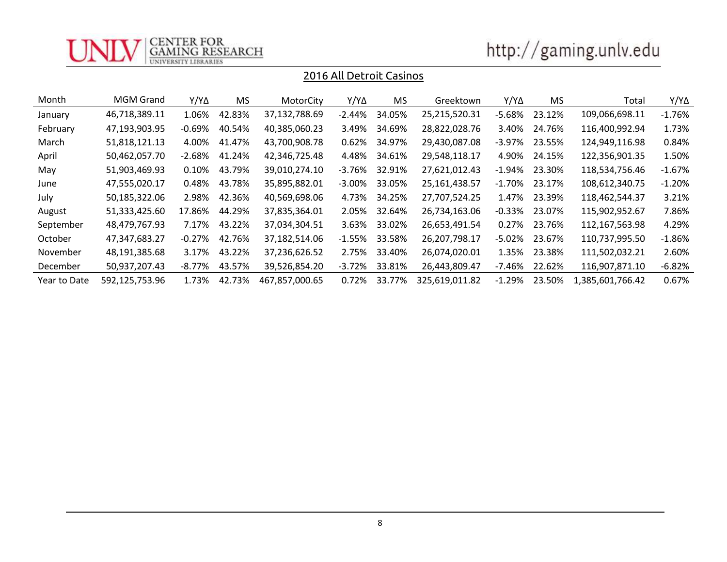

| http://gaming.unlv.edu |
|------------------------|
|                        |

| Month        | <b>MGM Grand</b> | Y/Y∆     | MS.    | MotorCity      | Y/Y∆      | MS     | Greektown      | Y/Y∆      | MS.    | Total            | $Y/Y\Delta$ |
|--------------|------------------|----------|--------|----------------|-----------|--------|----------------|-----------|--------|------------------|-------------|
| January      | 46,718,389.11    | 1.06%    | 42.83% | 37,132,788.69  | $-2.44\%$ | 34.05% | 25,215,520.31  | $-5.68%$  | 23.12% | 109,066,698.11   | $-1.76%$    |
| February     | 47,193,903.95    | -0.69%   | 40.54% | 40,385,060.23  | 3.49%     | 34.69% | 28,822,028.76  | 3.40%     | 24.76% | 116,400,992.94   | 1.73%       |
| March        | 51,818,121.13    | 4.00%    | 41.47% | 43,700,908.78  | 0.62%     | 34.97% | 29,430,087.08  | -3.97%    | 23.55% | 124,949,116.98   | 0.84%       |
| April        | 50,462,057.70    | $-2.68%$ | 41.24% | 42,346,725.48  | 4.48%     | 34.61% | 29,548,118.17  | 4.90%     | 24.15% | 122,356,901.35   | 1.50%       |
| May          | 51,903,469.93    | 0.10%    | 43.79% | 39,010,274.10  | -3.76%    | 32.91% | 27,621,012.43  | -1.94%    | 23.30% | 118,534,756.46   | $-1.67%$    |
| June         | 47,555,020.17    | 0.48%    | 43.78% | 35,895,882.01  | $-3.00%$  | 33.05% | 25,161,438.57  | $-1.70\%$ | 23.17% | 108,612,340.75   | $-1.20%$    |
| July         | 50,185,322.06    | 2.98%    | 42.36% | 40,569,698.06  | 4.73%     | 34.25% | 27,707,524.25  | 1.47%     | 23.39% | 118,462,544.37   | 3.21%       |
| August       | 51,333,425.60    | 17.86%   | 44.29% | 37,835,364.01  | 2.05%     | 32.64% | 26,734,163.06  | $-0.33%$  | 23.07% | 115,902,952.67   | 7.86%       |
| September    | 48,479,767.93    | 7.17%    | 43.22% | 37,034,304.51  | 3.63%     | 33.02% | 26,653,491.54  | 0.27%     | 23.76% | 112,167,563.98   | 4.29%       |
| October      | 47,347,683.27    | $-0.27%$ | 42.76% | 37,182,514.06  | $-1.55\%$ | 33.58% | 26,207,798.17  | $-5.02%$  | 23.67% | 110,737,995.50   | $-1.86\%$   |
| November     | 48,191,385.68    | 3.17%    | 43.22% | 37,236,626.52  | 2.75%     | 33.40% | 26,074,020.01  | 1.35%     | 23.38% | 111,502,032.21   | 2.60%       |
| December     | 50,937,207.43    | -8.77%   | 43.57% | 39,526,854.20  | $-3.72%$  | 33.81% | 26,443,809.47  | -7.46%    | 22.62% | 116,907,871.10   | $-6.82%$    |
| Year to Date | 592,125,753.96   | 1.73%    | 42.73% | 467,857,000.65 | 0.72%     | 33.77% | 325,619,011.82 | $-1.29%$  | 23.50% | 1,385,601,766.42 | 0.67%       |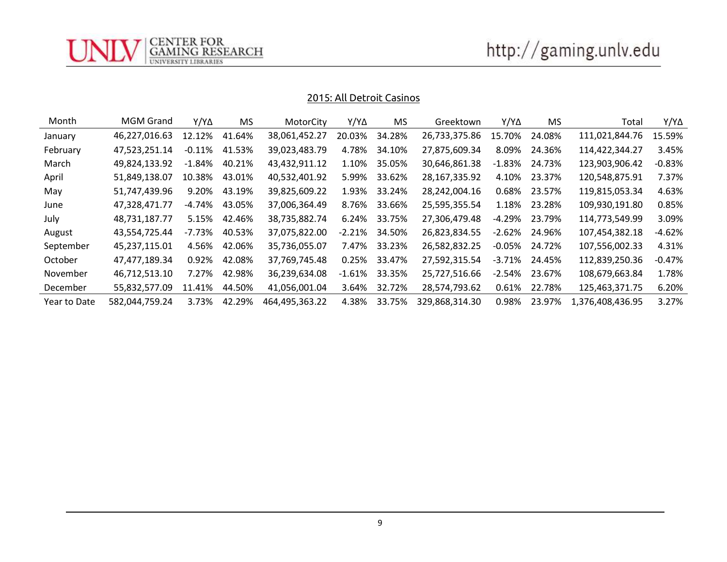

CENTER FOR<br>GAMING RESEARCH<br>UNIVERSITY LIBRARIES

| Month        | <b>MGM Grand</b> | $Y/Y\Delta$ | <b>MS</b> | MotorCity      | $Y/Y\Delta$ | <b>MS</b> | Greektown      | Y/YA      | MS.    | Total            | Y/Y∆     |
|--------------|------------------|-------------|-----------|----------------|-------------|-----------|----------------|-----------|--------|------------------|----------|
| January      | 46,227,016.63    | 12.12%      | 41.64%    | 38,061,452.27  | 20.03%      | 34.28%    | 26,733,375.86  | 15.70%    | 24.08% | 111,021,844.76   | 15.59%   |
| February     | 47,523,251.14    | $-0.11\%$   | 41.53%    | 39,023,483.79  | 4.78%       | 34.10%    | 27,875,609.34  | 8.09%     | 24.36% | 114,422,344.27   | 3.45%    |
| March        | 49,824,133.92    | $-1.84\%$   | 40.21%    | 43,432,911.12  | 1.10%       | 35.05%    | 30,646,861.38  | $-1.83\%$ | 24.73% | 123,903,906.42   | $-0.83%$ |
| April        | 51,849,138.07    | 10.38%      | 43.01%    | 40,532,401.92  | 5.99%       | 33.62%    | 28,167,335.92  | 4.10%     | 23.37% | 120,548,875.91   | 7.37%    |
| May          | 51,747,439.96    | 9.20%       | 43.19%    | 39,825,609.22  | 1.93%       | 33.24%    | 28,242,004.16  | 0.68%     | 23.57% | 119,815,053.34   | 4.63%    |
| June         | 47,328,471.77    | -4.74%      | 43.05%    | 37,006,364.49  | 8.76%       | 33.66%    | 25,595,355.54  | 1.18%     | 23.28% | 109,930,191.80   | 0.85%    |
| July         | 48,731,187.77    | 5.15%       | 42.46%    | 38,735,882.74  | 6.24%       | 33.75%    | 27,306,479.48  | -4.29%    | 23.79% | 114,773,549.99   | 3.09%    |
| August       | 43,554,725.44    | -7.73%      | 40.53%    | 37,075,822.00  | $-2.21%$    | 34.50%    | 26,823,834.55  | $-2.62\%$ | 24.96% | 107,454,382.18   | -4.62%   |
| September    | 45,237,115.01    | 4.56%       | 42.06%    | 35,736,055.07  | 7.47%       | 33.23%    | 26,582,832.25  | $-0.05\%$ | 24.72% | 107,556,002.33   | 4.31%    |
| October      | 47,477,189.34    | 0.92%       | 42.08%    | 37,769,745.48  | 0.25%       | 33.47%    | 27,592,315.54  | -3.71%    | 24.45% | 112,839,250.36   | -0.47%   |
| November     | 46,712,513.10    | 7.27%       | 42.98%    | 36,239,634.08  | $-1.61\%$   | 33.35%    | 25,727,516.66  | $-2.54\%$ | 23.67% | 108,679,663.84   | 1.78%    |
| December     | 55,832,577.09    | 11.41%      | 44.50%    | 41,056,001.04  | 3.64%       | 32.72%    | 28,574,793.62  | 0.61%     | 22.78% | 125,463,371.75   | 6.20%    |
| Year to Date | 582,044,759.24   | 3.73%       | 42.29%    | 464,495,363.22 | 4.38%       | 33.75%    | 329,868,314.30 | 0.98%     | 23.97% | 1,376,408,436.95 | 3.27%    |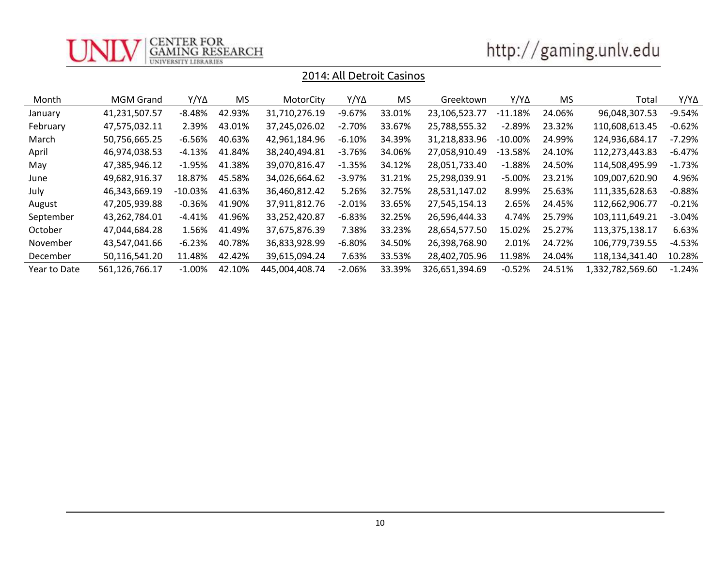

| http://gaming.unlv.edu |  |
|------------------------|--|

| Month        | <b>MGM Grand</b> | Y/Y∆       | MS     | MotorCity      | Y/Y∆      | MS     | Greektown      | Y/Y∆       | MS     | Total            | Y/Y∆      |
|--------------|------------------|------------|--------|----------------|-----------|--------|----------------|------------|--------|------------------|-----------|
| January      | 41,231,507.57    | $-8.48%$   | 42.93% | 31,710,276.19  | $-9.67%$  | 33.01% | 23,106,523.77  | $-11.18%$  | 24.06% | 96,048,307.53    | $-9.54%$  |
| February     | 47,575,032.11    | 2.39%      | 43.01% | 37,245,026.02  | $-2.70%$  | 33.67% | 25,788,555.32  | $-2.89%$   | 23.32% | 110,608,613.45   | $-0.62\%$ |
| March        | 50,756,665.25    | $-6.56%$   | 40.63% | 42,961,184.96  | $-6.10%$  | 34.39% | 31,218,833.96  | $-10.00\%$ | 24.99% | 124,936,684.17   | $-7.29%$  |
| April        | 46,974,038.53    | -4.13%     | 41.84% | 38,240,494.81  | $-3.76%$  | 34.06% | 27.058.910.49  | $-13.58%$  | 24.10% | 112,273,443.83   | -6.47%    |
| May          | 47,385,946.12    | $-1.95\%$  | 41.38% | 39,070,816.47  | $-1.35%$  | 34.12% | 28,051,733.40  | $-1.88%$   | 24.50% | 114,508,495.99   | $-1.73\%$ |
| June         | 49,682,916.37    | 18.87%     | 45.58% | 34,026,664.62  | $-3.97\%$ | 31.21% | 25,298,039.91  | $-5.00%$   | 23.21% | 109,007,620.90   | 4.96%     |
| July         | 46,343,669.19    | $-10.03\%$ | 41.63% | 36,460,812.42  | 5.26%     | 32.75% | 28,531,147.02  | 8.99%      | 25.63% | 111,335,628.63   | -0.88%    |
| August       | 47,205,939.88    | $-0.36%$   | 41.90% | 37,911,812.76  | $-2.01%$  | 33.65% | 27,545,154.13  | 2.65%      | 24.45% | 112,662,906.77   | $-0.21%$  |
| September    | 43,262,784.01    | -4.41%     | 41.96% | 33,252,420.87  | $-6.83%$  | 32.25% | 26,596,444.33  | 4.74%      | 25.79% | 103,111,649.21   | $-3.04\%$ |
| October      | 47,044,684.28    | 1.56%      | 41.49% | 37,675,876.39  | 7.38%     | 33.23% | 28,654,577.50  | 15.02%     | 25.27% | 113,375,138.17   | 6.63%     |
| November     | 43,547,041.66    | $-6.23%$   | 40.78% | 36,833,928.99  | $-6.80%$  | 34.50% | 26,398,768.90  | 2.01%      | 24.72% | 106,779,739.55   | -4.53%    |
| December     | 50,116,541.20    | 11.48%     | 42.42% | 39,615,094.24  | 7.63%     | 33.53% | 28,402,705.96  | 11.98%     | 24.04% | 118,134,341.40   | 10.28%    |
| Year to Date | 561,126,766.17   | $-1.00\%$  | 42.10% | 445,004,408.74 | $-2.06%$  | 33.39% | 326,651,394.69 | $-0.52%$   | 24.51% | 1,332,782,569.60 | $-1.24%$  |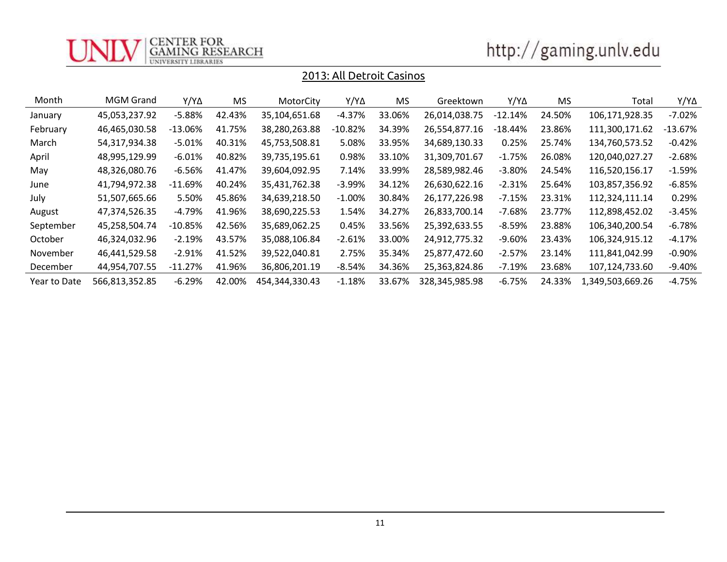

| http://gaming.unlv.edu |  |
|------------------------|--|

| Month        | <b>MGM Grand</b> | $Y/Y\Delta$ | MS.    | MotorCity      | Y/Y∆      | MS.    | Greektown      | Y/Y∆       | <b>MS</b> | Total            | Y/Y∆      |
|--------------|------------------|-------------|--------|----------------|-----------|--------|----------------|------------|-----------|------------------|-----------|
| January      | 45,053,237.92    | $-5.88%$    | 42.43% | 35,104,651.68  | $-4.37%$  | 33.06% | 26,014,038.75  | $-12.14%$  | 24.50%    | 106,171,928.35   | $-7.02%$  |
| February     | 46,465,030.58    | $-13.06%$   | 41.75% | 38,280,263.88  | $-10.82%$ | 34.39% | 26,554,877.16  | $-18.44\%$ | 23.86%    | 111,300,171.62   | $-13.67%$ |
| March        | 54,317,934.38    | $-5.01%$    | 40.31% | 45,753,508.81  | 5.08%     | 33.95% | 34,689,130.33  | 0.25%      | 25.74%    | 134,760,573.52   | $-0.42%$  |
| April        | 48,995,129.99    | $-6.01%$    | 40.82% | 39,735,195.61  | 0.98%     | 33.10% | 31,309,701.67  | $-1.75%$   | 26.08%    | 120,040,027.27   | $-2.68%$  |
| May          | 48,326,080.76    | $-6.56%$    | 41.47% | 39,604,092.95  | 7.14%     | 33.99% | 28,589,982.46  | $-3.80\%$  | 24.54%    | 116,520,156.17   | $-1.59%$  |
| June         | 41,794,972.38    | $-11.69%$   | 40.24% | 35,431,762.38  | $-3.99%$  | 34.12% | 26,630,622.16  | $-2.31%$   | 25.64%    | 103,857,356.92   | $-6.85%$  |
| July         | 51,507,665.66    | 5.50%       | 45.86% | 34,639,218.50  | $-1.00\%$ | 30.84% | 26,177,226.98  | $-7.15%$   | 23.31%    | 112,324,111.14   | 0.29%     |
| August       | 47,374,526.35    | $-4.79%$    | 41.96% | 38,690,225.53  | 1.54%     | 34.27% | 26,833,700.14  | -7.68%     | 23.77%    | 112,898,452.02   | $-3.45%$  |
| September    | 45,258,504.74    | $-10.85%$   | 42.56% | 35,689,062.25  | 0.45%     | 33.56% | 25,392,633.55  | $-8.59%$   | 23.88%    | 106,340,200.54   | $-6.78%$  |
| October      | 46,324,032.96    | $-2.19%$    | 43.57% | 35,088,106.84  | $-2.61%$  | 33.00% | 24,912,775.32  | -9.60%     | 23.43%    | 106,324,915.12   | -4.17%    |
| November     | 46,441,529.58    | $-2.91%$    | 41.52% | 39,522,040.81  | 2.75%     | 35.34% | 25,877,472.60  | $-2.57%$   | 23.14%    | 111,841,042.99   | $-0.90%$  |
| December     | 44,954,707.55    | $-11.27%$   | 41.96% | 36,806,201.19  | $-8.54%$  | 34.36% | 25,363,824.86  | $-7.19%$   | 23.68%    | 107,124,733.60   | $-9.40%$  |
| Year to Date | 566,813,352.85   | $-6.29%$    | 42.00% | 454,344,330.43 | $-1.18%$  | 33.67% | 328,345,985.98 | -6.75%     | 24.33%    | 1,349,503,669.26 | $-4.75%$  |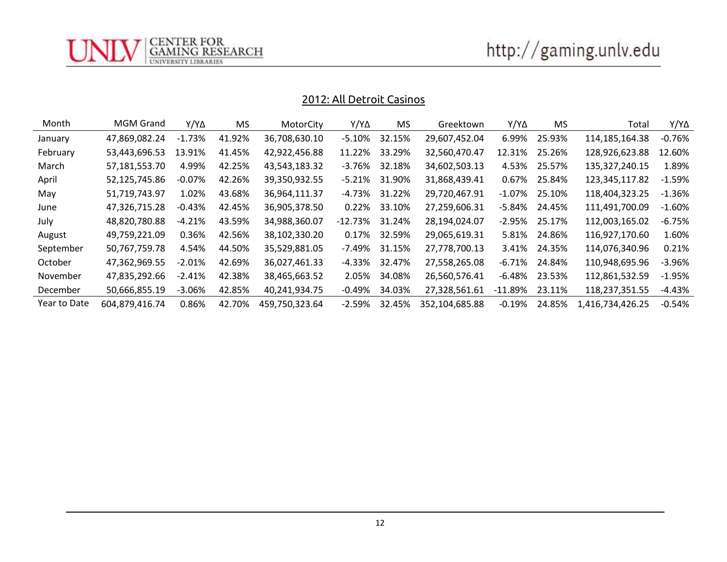http://gaming.unlv.edu

## 2012: All Detroit Casinos

CENTER FOR<br>GAMING RESEARCH<br>UNIVERSITY LIBRARIES

| Month        | <b>MGM Grand</b> | $Y/Y\Delta$ | MS.    | MotorCity      | Y/Y∆       | <b>MS</b> | Greektown      | Y/Y∆       | MS.              | Total            | Y/Y∆      |
|--------------|------------------|-------------|--------|----------------|------------|-----------|----------------|------------|------------------|------------------|-----------|
| January      | 47,869,082.24    | $-1.73%$    | 41.92% | 36,708,630.10  | $-5.10%$   | 32.15%    | 29,607,452.04  | 6.99%      | 25.93%           | 114,185,164.38   | -0.76%    |
| February     | 53,443,696.53    | 13.91%      | 41.45% | 42,922,456.88  | 11.22%     | 33.29%    | 32,560,470.47  | 12.31%     | 25.26%           | 128,926,623.88   | 12.60%    |
| March        | 57,181,553.70    | 4.99%       | 42.25% | 43,543,183.32  | -3.76%     | 32.18%    | 34,602,503.13  | 4.53%      | 25.57%           | 135,327,240.15   | 1.89%     |
| April        | 52,125,745.86    | $-0.07\%$   | 42.26% | 39,350,932.55  | -5.21%     | 31.90%    | 31,868,439.41  | 0.67%      | 25.84%           | 123,345,117.82   | -1.59%    |
| May          | 51,719,743.97    | 1.02%       | 43.68% | 36,964,111.37  | -4.73%     | 31.22%    | 29,720,467.91  |            | $-1.07\%$ 25.10% | 118,404,323.25   | -1.36%    |
| June         | 47,326,715.28    | $-0.43%$    | 42.45% | 36,905,378.50  | 0.22%      | 33.10%    | 27,259,606.31  | -5.84%     | 24.45%           | 111,491,700.09   | $-1.60%$  |
| July         | 48,820,780.88    | -4.21%      | 43.59% | 34,988,360.07  | $-12.73\%$ | 31.24%    | 28,194,024.07  | -2.95%     | 25.17%           | 112,003,165.02   | -6.75%    |
| August       | 49,759,221.09    | 0.36%       | 42.56% | 38,102,330.20  | 0.17%      | 32.59%    | 29,065,619.31  | 5.81%      | 24.86%           | 116,927,170.60   | 1.60%     |
| September    | 50,767,759.78    | 4.54%       | 44.50% | 35,529,881.05  | -7.49%     | 31.15%    | 27,778,700.13  | 3.41%      | 24.35%           | 114,076,340.96   | 0.21%     |
| October      | 47,362,969.55    | $-2.01%$    | 42.69% | 36,027,461.33  | -4.33%     | 32.47%    | 27,558,265.08  | $-6.71\%$  | 24.84%           | 110,948,695.96   | $-3.96%$  |
| November     | 47,835,292.66    | $-2.41\%$   | 42.38% | 38,465,663.52  | 2.05%      | 34.08%    | 26,560,576.41  | -6.48%     | 23.53%           | 112,861,532.59   | -1.95%    |
| December     | 50,666,855.19    | $-3.06%$    | 42.85% | 40,241,934.75  | -0.49%     | 34.03%    | 27,328,561.61  | $-11.89\%$ | 23.11%           | 118,237,351.55   | -4.43%    |
| Year to Date | 604,879,416.74   | 0.86%       | 42.70% | 459,750,323.64 | $-2.59%$   | 32.45%    | 352,104,685.88 | $-0.19%$   | 24.85%           | 1,416,734,426.25 | $-0.54\%$ |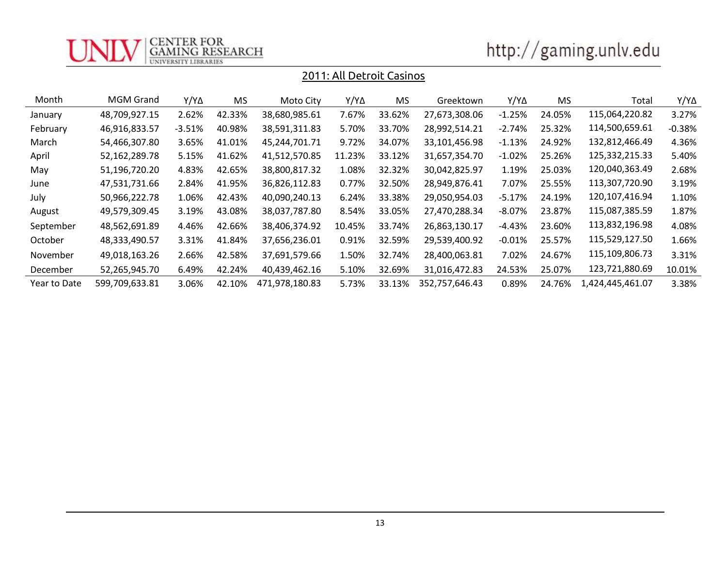

| http://gaming.unlv.edu |  |
|------------------------|--|
|                        |  |

| Month        | MGM Grand      | Y/Y∆     | <b>MS</b> | Moto City      | Y/Y∆   | MS.    | Greektown      | Y/Y∆      | <b>MS</b> | Total            | Y/Y∆     |
|--------------|----------------|----------|-----------|----------------|--------|--------|----------------|-----------|-----------|------------------|----------|
| January      | 48,709,927.15  | 2.62%    | 42.33%    | 38,680,985.61  | 7.67%  | 33.62% | 27,673,308.06  | $-1.25%$  | 24.05%    | 115,064,220.82   | 3.27%    |
| February     | 46,916,833.57  | $-3.51%$ | 40.98%    | 38,591,311.83  | 5.70%  | 33.70% | 28,992,514.21  | $-2.74%$  | 25.32%    | 114,500,659.61   | $-0.38%$ |
| March        | 54,466,307.80  | 3.65%    | 41.01%    | 45,244,701.71  | 9.72%  | 34.07% | 33,101,456.98  | $-1.13%$  | 24.92%    | 132,812,466.49   | 4.36%    |
| April        | 52,162,289.78  | 5.15%    | 41.62%    | 41,512,570.85  | 11.23% | 33.12% | 31,657,354.70  | $-1.02%$  | 25.26%    | 125,332,215.33   | 5.40%    |
| May          | 51,196,720.20  | 4.83%    | 42.65%    | 38,800,817.32  | 1.08%  | 32.32% | 30,042,825.97  | 1.19%     | 25.03%    | 120,040,363.49   | 2.68%    |
| June         | 47,531,731.66  | 2.84%    | 41.95%    | 36,826,112.83  | 0.77%  | 32.50% | 28,949,876.41  | 7.07%     | 25.55%    | 113,307,720.90   | 3.19%    |
| July         | 50,966,222.78  | 1.06%    | 42.43%    | 40,090,240.13  | 6.24%  | 33.38% | 29,050,954.03  | $-5.17%$  | 24.19%    | 120,107,416.94   | 1.10%    |
| August       | 49,579,309.45  | 3.19%    | 43.08%    | 38,037,787.80  | 8.54%  | 33.05% | 27,470,288.34  | $-8.07\%$ | 23.87%    | 115,087,385.59   | 1.87%    |
| September    | 48,562,691.89  | 4.46%    | 42.66%    | 38,406,374.92  | 10.45% | 33.74% | 26,863,130.17  | $-4.43%$  | 23.60%    | 113,832,196.98   | 4.08%    |
| October      | 48,333,490.57  | 3.31%    | 41.84%    | 37,656,236.01  | 0.91%  | 32.59% | 29,539,400.92  | $-0.01%$  | 25.57%    | 115,529,127.50   | 1.66%    |
| November     | 49,018,163.26  | 2.66%    | 42.58%    | 37,691,579.66  | 1.50%  | 32.74% | 28,400,063.81  | 7.02%     | 24.67%    | 115,109,806.73   | 3.31%    |
| December     | 52,265,945.70  | 6.49%    | 42.24%    | 40,439,462.16  | 5.10%  | 32.69% | 31,016,472.83  | 24.53%    | 25.07%    | 123,721,880.69   | 10.01%   |
| Year to Date | 599,709,633.81 | 3.06%    | 42.10%    | 471,978,180.83 | 5.73%  | 33.13% | 352,757,646.43 | 0.89%     | 24.76%    | 1,424,445,461.07 | 3.38%    |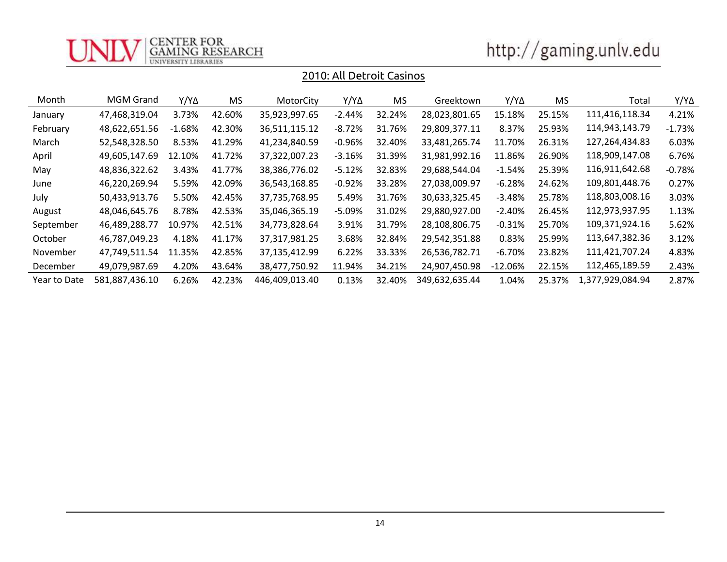

| http://gaming.unlv.edu |  |
|------------------------|--|
|                        |  |

| Month        | <b>MGM Grand</b> | Y/Y∆       | <b>MS</b> | MotorCity      | $Y/Y\Delta$ | MS.    | Greektown      | $Y/Y\Delta$ | MS.    | Total            | Y/Y∆     |
|--------------|------------------|------------|-----------|----------------|-------------|--------|----------------|-------------|--------|------------------|----------|
| January      | 47,468,319.04    | 3.73%      | 42.60%    | 35,923,997.65  | $-2.44\%$   | 32.24% | 28,023,801.65  | 15.18%      | 25.15% | 111,416,118.34   | 4.21%    |
| February     | 48,622,651.56    | $-1.68%$   | 42.30%    | 36,511,115.12  | $-8.72%$    | 31.76% | 29,809,377.11  | 8.37%       | 25.93% | 114,943,143.79   | $-1.73%$ |
| March        | 52,548,328.50    | 8.53%      | 41.29%    | 41,234,840.59  | -0.96%      | 32.40% | 33,481,265.74  | 11.70%      | 26.31% | 127,264,434.83   | 6.03%    |
| April        | 49,605,147.69    | 12.10%     | 41.72%    | 37,322,007.23  | $-3.16%$    | 31.39% | 31,981,992.16  | 11.86%      | 26.90% | 118,909,147.08   | 6.76%    |
| May          | 48,836,322.62    | 3.43%      | 41.77%    | 38,386,776.02  | $-5.12%$    | 32.83% | 29,688,544.04  | $-1.54%$    | 25.39% | 116,911,642.68   | $-0.78%$ |
| June         | 46,220,269.94    | 5.59%      | 42.09%    | 36,543,168.85  | $-0.92\%$   | 33.28% | 27,038,009.97  | $-6.28%$    | 24.62% | 109,801,448.76   | 0.27%    |
| July         | 50,433,913.76    | 5.50%      | 42.45%    | 37,735,768.95  | 5.49%       | 31.76% | 30,633,325.45  | $-3.48%$    | 25.78% | 118,803,008.16   | 3.03%    |
| August       | 48,046,645.76    | 8.78%      | 42.53%    | 35,046,365.19  | -5.09%      | 31.02% | 29,880,927.00  | $-2.40%$    | 26.45% | 112,973,937.95   | 1.13%    |
| September    | 46,489,288.77    | 10.97%     | 42.51%    | 34,773,828.64  | 3.91%       | 31.79% | 28,108,806.75  | $-0.31%$    | 25.70% | 109,371,924.16   | 5.62%    |
| October      | 46,787,049.23    | 4.18%      | 41.17%    | 37,317,981.25  | 3.68%       | 32.84% | 29,542,351.88  | 0.83%       | 25.99% | 113,647,382.36   | 3.12%    |
| November     | 47,749,511.54    | .35%<br>11 | 42.85%    | 37,135,412.99  | 6.22%       | 33.33% | 26,536,782.71  | $-6.70\%$   | 23.82% | 111,421,707.24   | 4.83%    |
| December     | 49,079,987.69    | 4.20%      | 43.64%    | 38,477,750.92  | 11.94%      | 34.21% | 24,907,450.98  | $-12.06%$   | 22.15% | 112,465,189.59   | 2.43%    |
| Year to Date | 581,887,436.10   | 6.26%      | 42.23%    | 446,409,013.40 | 0.13%       | 32.40% | 349,632,635.44 | 1.04%       | 25.37% | 1,377,929,084.94 | 2.87%    |